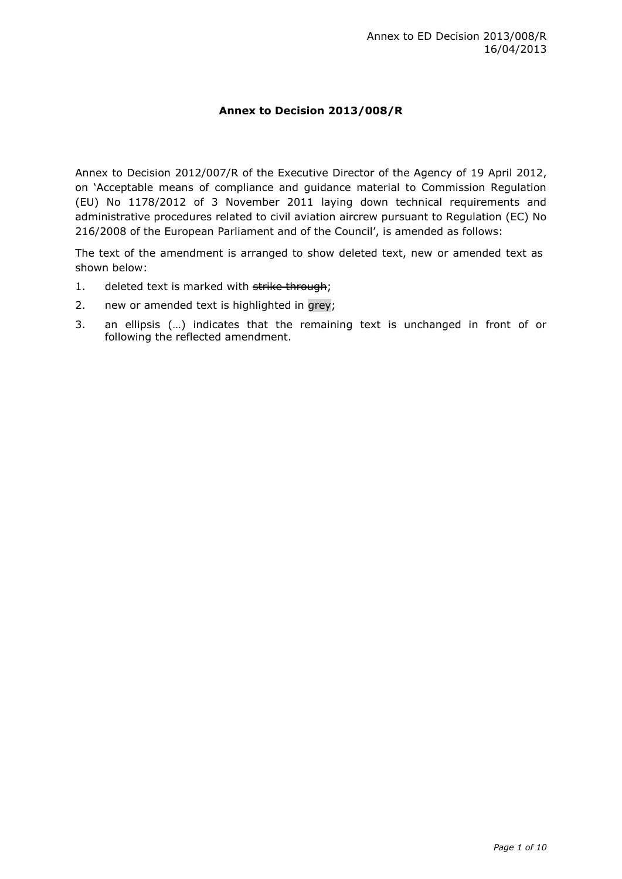# **Annex to Decision 2013/008/R**

Annex to Decision 2012/007/R of the Executive Director of the Agency of 19 April 2012, on 'Acceptable means of compliance and guidance material to Commission Regulation (EU) No 1178/2012 of 3 November 2011 laying down technical requirements and administrative procedures related to civil aviation aircrew pursuant to Regulation (EC) No 216/2008 of the European Parliament and of the Council', is amended as follows:

The text of the amendment is arranged to show deleted text, new or amended text as shown below:

- 1. deleted text is marked with strike through;
- 2. new or amended text is highlighted in grey;
- 3. an ellipsis (…) indicates that the remaining text is unchanged in front of or following the reflected amendment.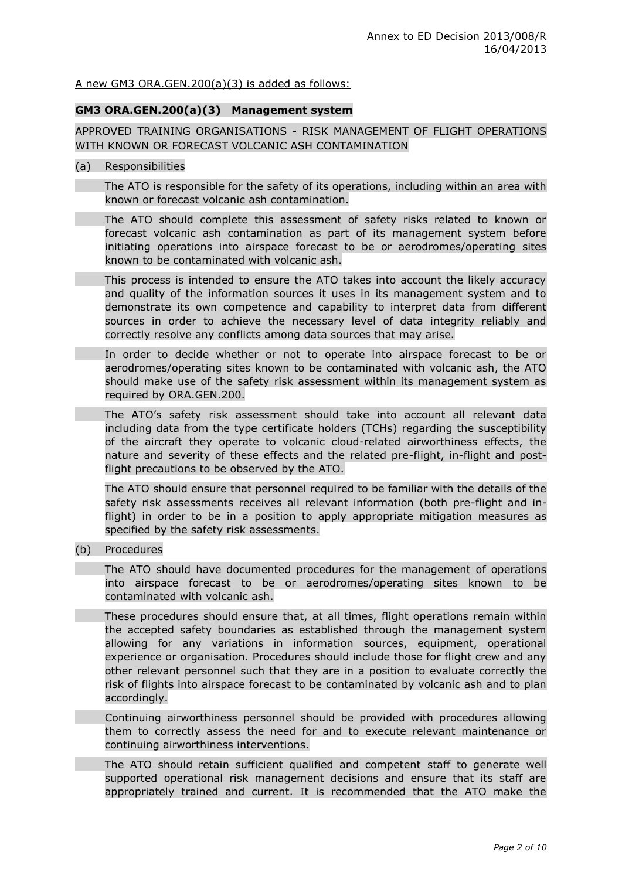A new GM3 ORA.GEN.200(a)(3) is added as follows:

## **GM3 ORA.GEN.200(a)(3) Management system**

APPROVED TRAINING ORGANISATIONS - RISK MANAGEMENT OF FLIGHT OPERATIONS WITH KNOWN OR FORECAST VOLCANIC ASH CONTAMINATION

(a) Responsibilities

The ATO is responsible for the safety of its operations, including within an area with known or forecast volcanic ash contamination.

- The ATO should complete this assessment of safety risks related to known or forecast volcanic ash contamination as part of its management system before initiating operations into airspace forecast to be or aerodromes/operating sites known to be contaminated with volcanic ash.
- This process is intended to ensure the ATO takes into account the likely accuracy and quality of the information sources it uses in its management system and to demonstrate its own competence and capability to interpret data from different sources in order to achieve the necessary level of data integrity reliably and correctly resolve any conflicts among data sources that may arise.
- In order to decide whether or not to operate into airspace forecast to be or aerodromes/operating sites known to be contaminated with volcanic ash, the ATO should make use of the safety risk assessment within its management system as required by ORA.GEN.200.
- The ATO's safety risk assessment should take into account all relevant data including data from the type certificate holders (TCHs) regarding the susceptibility of the aircraft they operate to volcanic cloud-related airworthiness effects, the nature and severity of these effects and the related pre-flight, in-flight and postflight precautions to be observed by the ATO.

The ATO should ensure that personnel required to be familiar with the details of the safety risk assessments receives all relevant information (both pre-flight and inflight) in order to be in a position to apply appropriate mitigation measures as specified by the safety risk assessments.

(b) Procedures

The ATO should have documented procedures for the management of operations into airspace forecast to be or aerodromes/operating sites known to be contaminated with volcanic ash.

These procedures should ensure that, at all times, flight operations remain within the accepted safety boundaries as established through the management system allowing for any variations in information sources, equipment, operational experience or organisation. Procedures should include those for flight crew and any other relevant personnel such that they are in a position to evaluate correctly the risk of flights into airspace forecast to be contaminated by volcanic ash and to plan accordingly.

Continuing airworthiness personnel should be provided with procedures allowing them to correctly assess the need for and to execute relevant maintenance or continuing airworthiness interventions.

The ATO should retain sufficient qualified and competent staff to generate well supported operational risk management decisions and ensure that its staff are appropriately trained and current. It is recommended that the ATO make the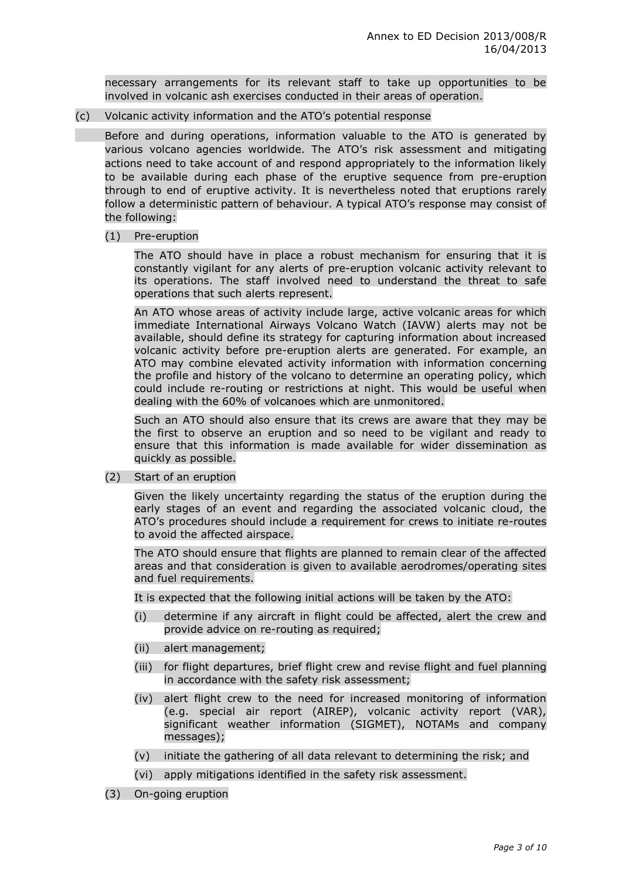necessary arrangements for its relevant staff to take up opportunities to be involved in volcanic ash exercises conducted in their areas of operation.

## (c) Volcanic activity information and the ATO's potential response

Before and during operations, information valuable to the ATO is generated by various volcano agencies worldwide. The ATO's risk assessment and mitigating actions need to take account of and respond appropriately to the information likely to be available during each phase of the eruptive sequence from pre-eruption through to end of eruptive activity. It is nevertheless noted that eruptions rarely follow a deterministic pattern of behaviour. A typical ATO's response may consist of the following:

### (1) Pre-eruption

The ATO should have in place a robust mechanism for ensuring that it is constantly vigilant for any alerts of pre-eruption volcanic activity relevant to its operations. The staff involved need to understand the threat to safe operations that such alerts represent.

An ATO whose areas of activity include large, active volcanic areas for which immediate International Airways Volcano Watch (IAVW) alerts may not be available, should define its strategy for capturing information about increased volcanic activity before pre-eruption alerts are generated. For example, an ATO may combine elevated activity information with information concerning the profile and history of the volcano to determine an operating policy, which could include re-routing or restrictions at night. This would be useful when dealing with the 60% of volcanoes which are unmonitored.

Such an ATO should also ensure that its crews are aware that they may be the first to observe an eruption and so need to be vigilant and ready to ensure that this information is made available for wider dissemination as quickly as possible.

(2) Start of an eruption

Given the likely uncertainty regarding the status of the eruption during the early stages of an event and regarding the associated volcanic cloud, the ATO's procedures should include a requirement for crews to initiate re-routes to avoid the affected airspace.

The ATO should ensure that flights are planned to remain clear of the affected areas and that consideration is given to available aerodromes/operating sites and fuel requirements.

It is expected that the following initial actions will be taken by the ATO:

- (i) determine if any aircraft in flight could be affected, alert the crew and provide advice on re-routing as required;
- (ii) alert management;
- (iii) for flight departures, brief flight crew and revise flight and fuel planning in accordance with the safety risk assessment;
- (iv) alert flight crew to the need for increased monitoring of information (e.g. special air report (AIREP), volcanic activity report (VAR), significant weather information (SIGMET), NOTAMs and company messages);
- (v) initiate the gathering of all data relevant to determining the risk; and
- (vi) apply mitigations identified in the safety risk assessment.
- (3) On-going eruption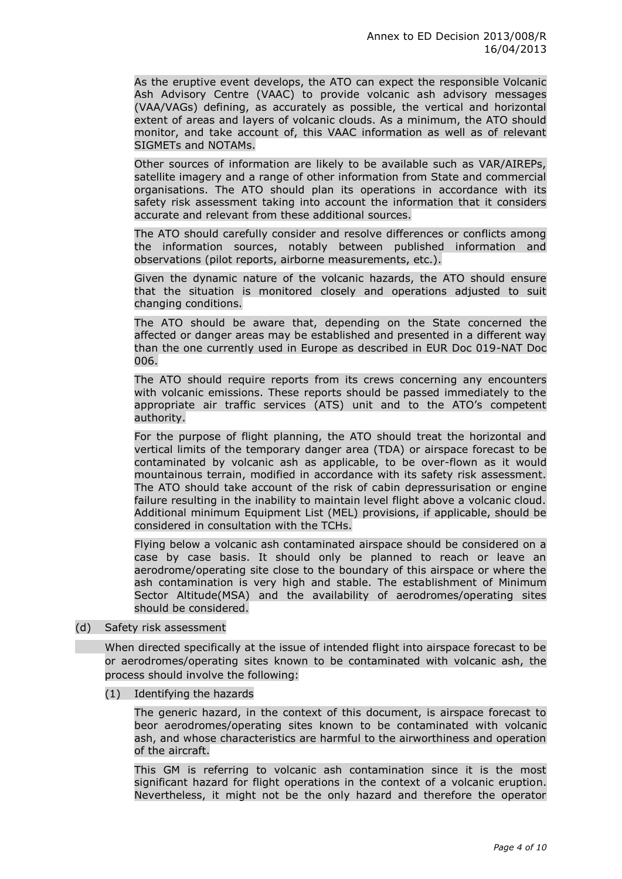As the eruptive event develops, the ATO can expect the responsible Volcanic Ash Advisory Centre (VAAC) to provide volcanic ash advisory messages (VAA/VAGs) defining, as accurately as possible, the vertical and horizontal extent of areas and layers of volcanic clouds. As a minimum, the ATO should monitor, and take account of, this VAAC information as well as of relevant SIGMETs and NOTAMs.

Other sources of information are likely to be available such as VAR/AIREPs, satellite imagery and a range of other information from State and commercial organisations. The ATO should plan its operations in accordance with its safety risk assessment taking into account the information that it considers accurate and relevant from these additional sources.

The ATO should carefully consider and resolve differences or conflicts among the information sources, notably between published information and observations (pilot reports, airborne measurements, etc.).

Given the dynamic nature of the volcanic hazards, the ATO should ensure that the situation is monitored closely and operations adjusted to suit changing conditions.

The ATO should be aware that, depending on the State concerned the affected or danger areas may be established and presented in a different way than the one currently used in Europe as described in EUR Doc 019-NAT Doc 006.

The ATO should require reports from its crews concerning any encounters with volcanic emissions. These reports should be passed immediately to the appropriate air traffic services (ATS) unit and to the ATO's competent authority.

For the purpose of flight planning, the ATO should treat the horizontal and vertical limits of the temporary danger area (TDA) or airspace forecast to be contaminated by volcanic ash as applicable, to be over-flown as it would mountainous terrain, modified in accordance with its safety risk assessment. The ATO should take account of the risk of cabin depressurisation or engine failure resulting in the inability to maintain level flight above a volcanic cloud. Additional minimum Equipment List (MEL) provisions, if applicable, should be considered in consultation with the TCHs.

Flying below a volcanic ash contaminated airspace should be considered on a case by case basis. It should only be planned to reach or leave an aerodrome/operating site close to the boundary of this airspace or where the ash contamination is very high and stable. The establishment of Minimum Sector Altitude(MSA) and the availability of aerodromes/operating sites should be considered.

### (d) Safety risk assessment

When directed specifically at the issue of intended flight into airspace forecast to be or aerodromes/operating sites known to be contaminated with volcanic ash, the process should involve the following:

(1) Identifying the hazards

The generic hazard, in the context of this document, is airspace forecast to beor aerodromes/operating sites known to be contaminated with volcanic ash, and whose characteristics are harmful to the airworthiness and operation of the aircraft.

This GM is referring to volcanic ash contamination since it is the most significant hazard for flight operations in the context of a volcanic eruption. Nevertheless, it might not be the only hazard and therefore the operator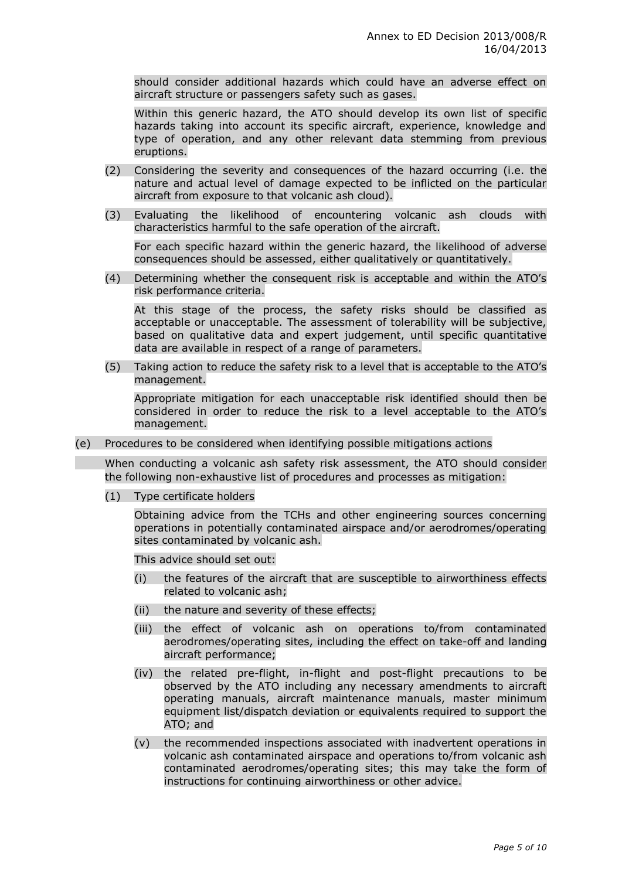should consider additional hazards which could have an adverse effect on aircraft structure or passengers safety such as gases.

Within this generic hazard, the ATO should develop its own list of specific hazards taking into account its specific aircraft, experience, knowledge and type of operation, and any other relevant data stemming from previous eruptions.

- (2) Considering the severity and consequences of the hazard occurring (i.e. the nature and actual level of damage expected to be inflicted on the particular aircraft from exposure to that volcanic ash cloud).
- (3) Evaluating the likelihood of encountering volcanic ash clouds with characteristics harmful to the safe operation of the aircraft.

For each specific hazard within the generic hazard, the likelihood of adverse consequences should be assessed, either qualitatively or quantitatively.

(4) Determining whether the consequent risk is acceptable and within the ATO's risk performance criteria.

At this stage of the process, the safety risks should be classified as acceptable or unacceptable. The assessment of tolerability will be subjective, based on qualitative data and expert judgement, until specific quantitative data are available in respect of a range of parameters.

(5) Taking action to reduce the safety risk to a level that is acceptable to the ATO's management.

Appropriate mitigation for each unacceptable risk identified should then be considered in order to reduce the risk to a level acceptable to the ATO's management.

(e) Procedures to be considered when identifying possible mitigations actions

When conducting a volcanic ash safety risk assessment, the ATO should consider the following non-exhaustive list of procedures and processes as mitigation:

(1) Type certificate holders

Obtaining advice from the TCHs and other engineering sources concerning operations in potentially contaminated airspace and/or aerodromes/operating sites contaminated by volcanic ash.

This advice should set out:

- (i) the features of the aircraft that are susceptible to airworthiness effects related to volcanic ash;
- (ii) the nature and severity of these effects;
- (iii) the effect of volcanic ash on operations to/from contaminated aerodromes/operating sites, including the effect on take-off and landing aircraft performance;
- (iv) the related pre-flight, in-flight and post-flight precautions to be observed by the ATO including any necessary amendments to aircraft operating manuals, aircraft maintenance manuals, master minimum equipment list/dispatch deviation or equivalents required to support the ATO; and
- (v) the recommended inspections associated with inadvertent operations in volcanic ash contaminated airspace and operations to/from volcanic ash contaminated aerodromes/operating sites; this may take the form of instructions for continuing airworthiness or other advice.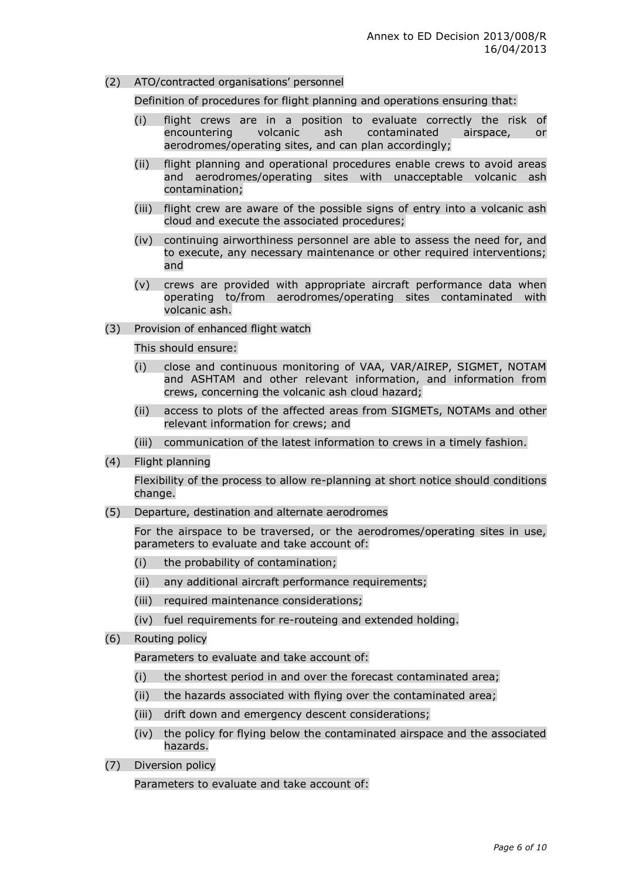### (2) ATO/contracted organisations' personnel

Definition of procedures for flight planning and operations ensuring that:

- (i) flight crews are in a position to evaluate correctly the risk of encountering volcanic ash contaminated airspace, or aerodromes/operating sites, and can plan accordingly;
- (ii) flight planning and operational procedures enable crews to avoid areas and aerodromes/operating sites with unacceptable volcanic ash contamination;
- (iii) flight crew are aware of the possible signs of entry into a volcanic ash cloud and execute the associated procedures;
- (iv) continuing airworthiness personnel are able to assess the need for, and to execute, any necessary maintenance or other required interventions; and
- (v) crews are provided with appropriate aircraft performance data when operating to/from aerodromes/operating sites contaminated with volcanic ash.
- (3) Provision of enhanced flight watch

This should ensure:

- (i) close and continuous monitoring of VAA, VAR/AIREP, SIGMET, NOTAM and ASHTAM and other relevant information, and information from crews, concerning the volcanic ash cloud hazard;
- (ii) access to plots of the affected areas from SIGMETs, NOTAMs and other relevant information for crews; and
- (iii) communication of the latest information to crews in a timely fashion.
- (4) Flight planning

Flexibility of the process to allow re-planning at short notice should conditions change.

(5) Departure, destination and alternate aerodromes

For the airspace to be traversed, or the aerodromes/operating sites in use, parameters to evaluate and take account of:

- (i) the probability of contamination;
- (ii) any additional aircraft performance requirements;
- (iii) required maintenance considerations;
- (iv) fuel requirements for re-routeing and extended holding.
- (6) Routing policy

Parameters to evaluate and take account of:

- (i) the shortest period in and over the forecast contaminated area;
- (ii) the hazards associated with flying over the contaminated area;
- (iii) drift down and emergency descent considerations;
- (iv) the policy for flying below the contaminated airspace and the associated hazards.
- (7) Diversion policy

Parameters to evaluate and take account of: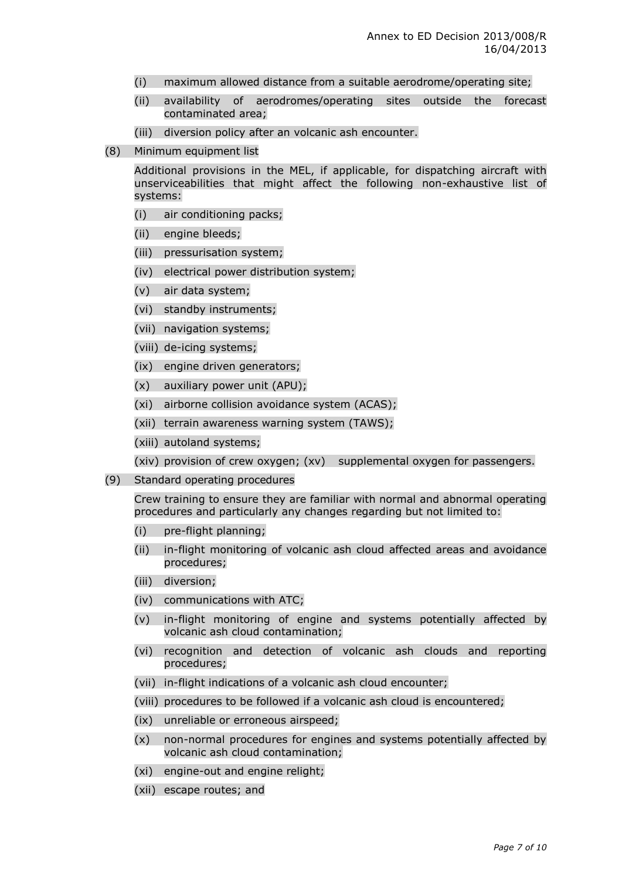- (i) maximum allowed distance from a suitable aerodrome/operating site;
- (ii) availability of aerodromes/operating sites outside the forecast contaminated area;
- (iii) diversion policy after an volcanic ash encounter.
- (8) Minimum equipment list

Additional provisions in the MEL, if applicable, for dispatching aircraft with unserviceabilities that might affect the following non-exhaustive list of systems:

- (i) air conditioning packs;
- (ii) engine bleeds;
- (iii) pressurisation system;
- (iv) electrical power distribution system;
- (v) air data system;
- (vi) standby instruments;
- (vii) navigation systems;
- (viii) de-icing systems;
- (ix) engine driven generators;
- (x) auxiliary power unit (APU);
- (xi) airborne collision avoidance system (ACAS);
- (xii) terrain awareness warning system (TAWS);
- (xiii) autoland systems;

(xiv) provision of crew oxygen; (xv) supplemental oxygen for passengers.

(9) Standard operating procedures

Crew training to ensure they are familiar with normal and abnormal operating procedures and particularly any changes regarding but not limited to:

- (i) pre-flight planning;
- (ii) in-flight monitoring of volcanic ash cloud affected areas and avoidance procedures;
- (iii) diversion;
- (iv) communications with ATC;
- (v) in-flight monitoring of engine and systems potentially affected by volcanic ash cloud contamination;
- (vi) recognition and detection of volcanic ash clouds and reporting procedures;
- (vii) in-flight indications of a volcanic ash cloud encounter;
- (viii) procedures to be followed if a volcanic ash cloud is encountered;
- (ix) unreliable or erroneous airspeed;
- (x) non-normal procedures for engines and systems potentially affected by volcanic ash cloud contamination;
- (xi) engine-out and engine relight;
- (xii) escape routes; and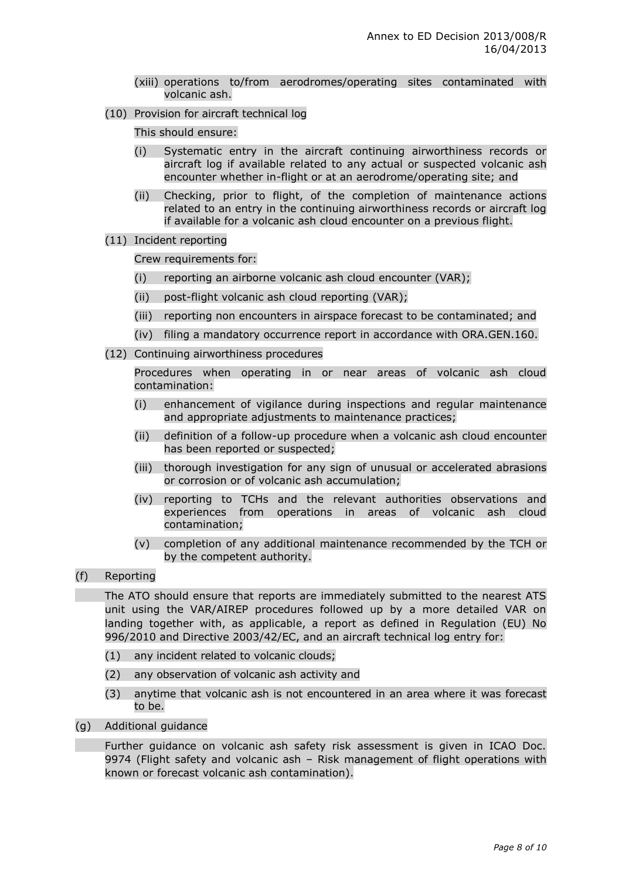- (xiii) operations to/from aerodromes/operating sites contaminated with volcanic ash.
- (10) Provision for aircraft technical log

This should ensure:

- (i) Systematic entry in the aircraft continuing airworthiness records or aircraft log if available related to any actual or suspected volcanic ash encounter whether in-flight or at an aerodrome/operating site; and
- (ii) Checking, prior to flight, of the completion of maintenance actions related to an entry in the continuing airworthiness records or aircraft log if available for a volcanic ash cloud encounter on a previous flight.
- (11) Incident reporting

Crew requirements for:

- (i) reporting an airborne volcanic ash cloud encounter (VAR);
- (ii) post-flight volcanic ash cloud reporting (VAR);
- (iii) reporting non encounters in airspace forecast to be contaminated; and
- (iv) filing a mandatory occurrence report in accordance with ORA.GEN.160.
- (12) Continuing airworthiness procedures

Procedures when operating in or near areas of volcanic ash cloud contamination:

- (i) enhancement of vigilance during inspections and regular maintenance and appropriate adjustments to maintenance practices;
- (ii) definition of a follow-up procedure when a volcanic ash cloud encounter has been reported or suspected;
- (iii) thorough investigation for any sign of unusual or accelerated abrasions or corrosion or of volcanic ash accumulation;
- (iv) reporting to TCHs and the relevant authorities observations and experiences from operations in areas of volcanic ash cloud contamination;
- (v) completion of any additional maintenance recommended by the TCH or by the competent authority.
- (f) Reporting

The ATO should ensure that reports are immediately submitted to the nearest ATS unit using the VAR/AIREP procedures followed up by a more detailed VAR on landing together with, as applicable, a report as defined in Regulation (EU) No 996/2010 and Directive 2003/42/EC, and an aircraft technical log entry for:

- (1) any incident related to volcanic clouds;
- (2) any observation of volcanic ash activity and
- (3) anytime that volcanic ash is not encountered in an area where it was forecast to be.
- (g) Additional guidance

Further guidance on volcanic ash safety risk assessment is given in ICAO Doc. 9974 (Flight safety and volcanic ash – Risk management of flight operations with known or forecast volcanic ash contamination).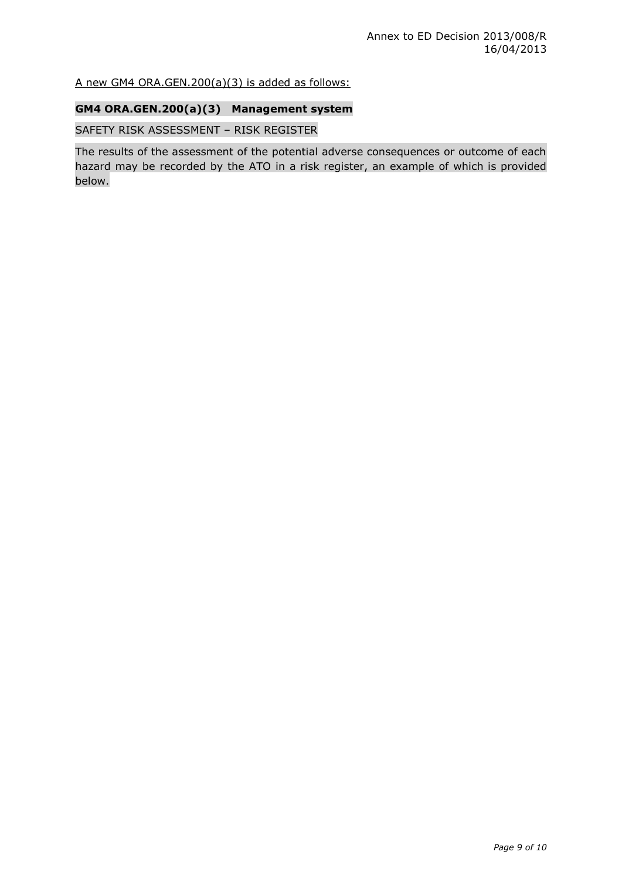A new GM4 ORA.GEN.200(a)(3) is added as follows:

# **GM4 ORA.GEN.200(a)(3) Management system**

# SAFETY RISK ASSESSMENT – RISK REGISTER

The results of the assessment of the potential adverse consequences or outcome of each hazard may be recorded by the ATO in a risk register, an example of which is provided below.